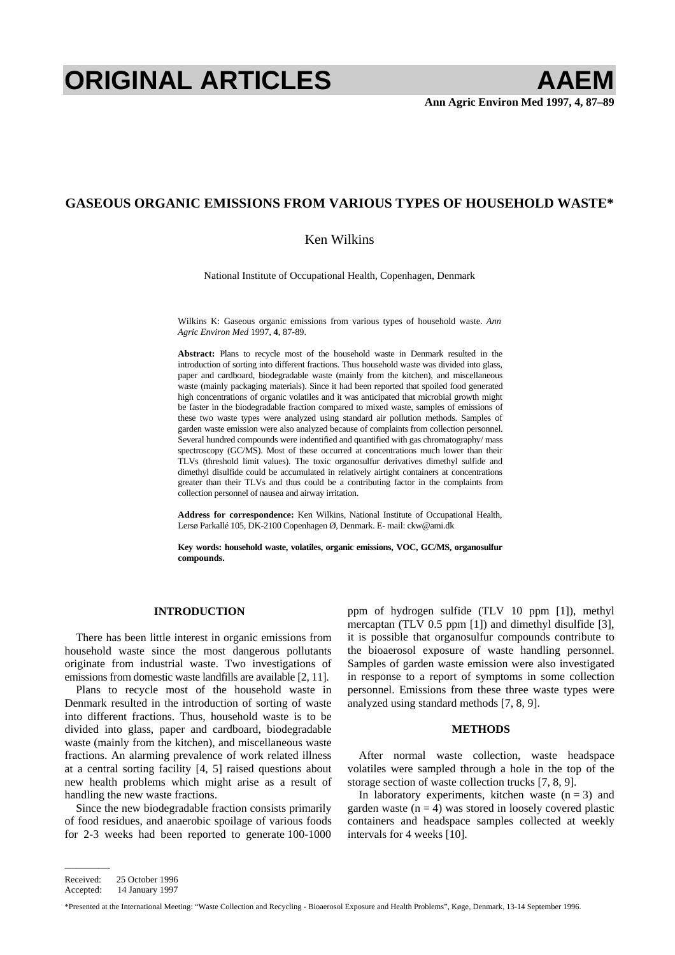# **ORIGINAL ARTICLES AAEM**

# **GASEOUS ORGANIC EMISSIONS FROM VARIOUS TYPES OF HOUSEHOLD WASTE\***

## Ken Wilkins

National Institute of Occupational Health, Copenhagen, Denmark

Wilkins K: Gaseous organic emissions from various types of household waste. *Ann Agric Environ Med* 1997, **4**, 87-89.

**Abstract:** Plans to recycle most of the household waste in Denmark resulted in the introduction of sorting into different fractions. Thus household waste was divided into glass, paper and cardboard, biodegradable waste (mainly from the kitchen), and miscellaneous waste (mainly packaging materials). Since it had been reported that spoiled food generated high concentrations of organic volatiles and it was anticipated that microbial growth might be faster in the biodegradable fraction compared to mixed waste, samples of emissions of these two waste types were analyzed using standard air pollution methods. Samples of garden waste emission were also analyzed because of complaints from collection personnel. Several hundred compounds were indentified and quantified with gas chromatography/ mass spectroscopy (GC/MS). Most of these occurred at concentrations much lower than their TLVs (threshold limit values). The toxic organosulfur derivatives dimethyl sulfide and dimethyl disulfide could be accumulated in relatively airtight containers at concentrations greater than their TLVs and thus could be a contributing factor in the complaints from collection personnel of nausea and airway irritation.

**Address for correspondence:** Ken Wilkins, National Institute of Occupational Health, Lersø Parkallé 105, DK-2100 Copenhagen Ø, Denmark. E- mail: [ckw@ami.dk](mailto:ckw@ami.dk) 

**Key words: household waste, volatiles, organic emissions, VOC, GC/MS, organosulfur compounds.** 

#### **INTRODUCTION**

There has been little interest in organic emissions from household waste since the most dangerous pollutants originate from industrial waste. Two investigations of emissions from domestic waste landfills are available [2, 11].

Plans to recycle most of the household waste in Denmark resulted in the introduction of sorting of waste into different fractions. Thus, household waste is to be divided into glass, paper and cardboard, biodegradable waste (mainly from the kitchen), and miscellaneous waste fractions. An alarming prevalence of work related illness at a central sorting facility [4, 5] raised questions about new health problems which might arise as a result of handling the new waste fractions.

Since the new biodegradable fraction consists primarily of food residues, and anaerobic spoilage of various foods for 2-3 weeks had been reported to generate 100-1000 ppm of hydrogen sulfide (TLV 10 ppm [1]), methyl mercaptan (TLV 0.5 ppm [1]) and dimethyl disulfide [3], it is possible that organosulfur compounds contribute to the bioaerosol exposure of waste handling personnel. Samples of garden waste emission were also investigated in response to a report of symptoms in some collection personnel. Emissions from these three waste types were analyzed using standard methods [7, 8, 9].

## **METHODS**

After normal waste collection, waste headspace volatiles were sampled through a hole in the top of the storage section of waste collection trucks [7, 8, 9].

In laboratory experiments, kitchen waste  $(n = 3)$  and garden waste  $(n = 4)$  was stored in loosely covered plastic containers and headspace samples collected at weekly intervals for 4 weeks [10].

————

Received: 25 October 1996

Accepted: 14 January 1997

<sup>\*</sup>Presented at the International Meeting: "Waste Collection and Recycling - Bioaerosol Exposure and Health Problems", Køge, Denmark, 13-14 September 1996.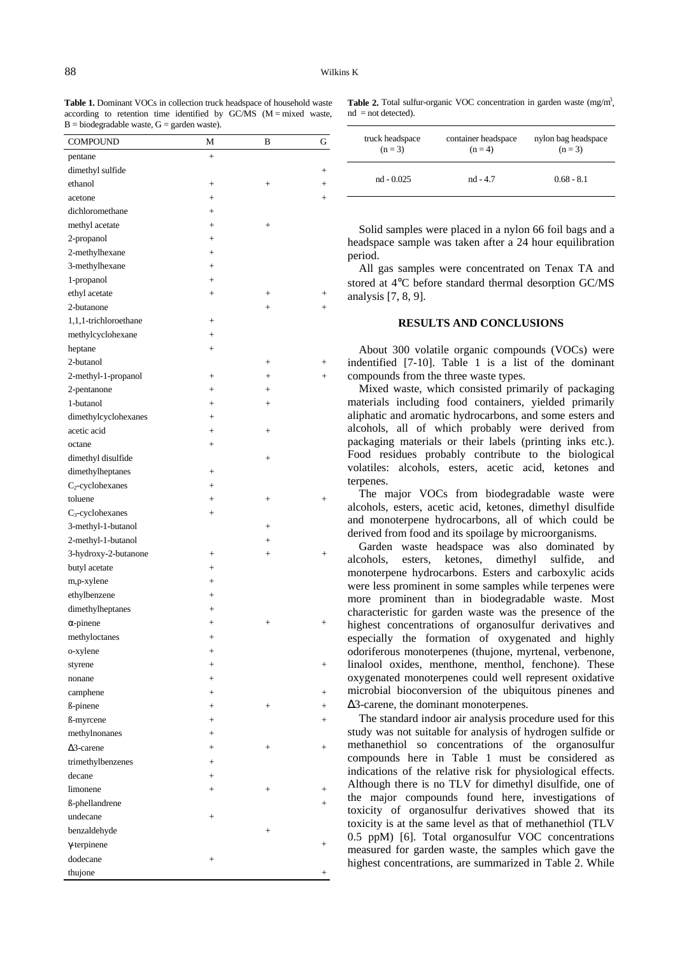Table 1. Dominant VOCs in collection truck headspace of household waste according to retention time identified by  $GCMS$  (M = mixed waste,  $B = biodegradable$  waste,  $G =$  garden waste).

| <b>COMPOUND</b>            | М         | B                                | G                                |
|----------------------------|-----------|----------------------------------|----------------------------------|
| pentane                    | $+$       |                                  |                                  |
| dimethyl sulfide           |           |                                  | $^{+}$                           |
| ethanol                    | $^{+}$    | $^{+}$                           | $\hspace{0.1mm} +$               |
| acetone                    | $^{+}$    |                                  | $^{+}$                           |
| dichloromethane            | $^{+}$    |                                  |                                  |
| methyl acetate             | $^{+}$    | $^{+}$                           |                                  |
| 2-propanol                 | $+$       |                                  |                                  |
| 2-methylhexane             | $+$       |                                  |                                  |
| 3-methylhexane             | $+$       |                                  |                                  |
| 1-propanol                 | $^{+}$    |                                  |                                  |
| ethyl acetate              | $^{+}$    |                                  | $^{+}$                           |
| 2-butanone                 |           | $^{+}$                           | $+$                              |
| 1,1,1-trichloroethane      | $^{+}$    |                                  |                                  |
| methylcyclohexane          | $^{+}$    |                                  |                                  |
| heptane                    | $+$       |                                  |                                  |
| 2-butanol                  |           | $^{+}$                           | $^{+}$                           |
| 2-methyl-1-propanol        | $+$       | $+$                              | $+$                              |
| 2-pentanone                | $+$       | $+$                              |                                  |
| 1-butanol                  | $^{+}$    | $^{+}$                           |                                  |
| dimethylcyclohexanes       | $+$       |                                  |                                  |
| acetic acid                | $^{+}$    | $^{+}$                           |                                  |
| octane                     | $^{+}$    |                                  |                                  |
| dimethyl disulfide         |           | $^{+}$                           |                                  |
| dimethylheptanes           | $+$       |                                  |                                  |
| $C_2$ -cyclohexanes        | $+$       |                                  |                                  |
| toluene                    | $+$       | $^{+}$                           | $+$                              |
| $C_3$ -cyclohexanes        | $^{+}$    |                                  |                                  |
| 3-methyl-1-butanol         |           | $\! +$                           |                                  |
| 2-methyl-1-butanol         |           | $\! +$                           |                                  |
| 3-hydroxy-2-butanone       | $^{+}$    |                                  | $^{+}$                           |
| butyl acetate              | $^{+}$    |                                  |                                  |
| m,p-xylene                 | $^{+}$    |                                  |                                  |
| ethylbenzene               | $+$       |                                  |                                  |
| dimethylheptanes           | $^{+}$    |                                  |                                  |
| $\alpha$ -pinene           | $^{+}$    | $^{+}$                           | $^{+}$                           |
| methyloctanes              | $^{+}$    |                                  |                                  |
| o-xylene                   | $^{+}$    |                                  |                                  |
| styrene                    | $\ddot{}$ |                                  | $\! +$                           |
| nonane                     | $\ddot{}$ |                                  |                                  |
| camphene                   | $+$       |                                  | $+$                              |
| ß-pinene                   | $\ddot{}$ | $^{+}$                           | $+$                              |
| ß-myrcene                  | $^{+}$    |                                  | $^{+}$                           |
| methylnonanes              | $^{+}$    |                                  |                                  |
| $\Delta$ 3-carene          | $^{+}$    | $^{+}$                           | $^{+}$                           |
| trimethylbenzenes          | $^{+}$    |                                  |                                  |
| decane                     |           |                                  |                                  |
| limonene                   | $^{+}$    |                                  |                                  |
|                            | $^{+}$    | $\hspace{0.1mm} +$               | $\hspace{0.1mm} +\hspace{0.1mm}$ |
| ß-phellandrene<br>undecane |           |                                  | $^{+}$                           |
|                            | $^{+}$    |                                  |                                  |
| benzaldehyde               |           | $\hspace{0.1mm} +\hspace{0.1mm}$ |                                  |
| $\gamma$ -terpinene        |           |                                  | $^+$                             |
| dodecane                   | $^{+}$    |                                  |                                  |
| thujone                    |           |                                  |                                  |

**Table 2.** Total sulfur-organic VOC concentration in garden waste  $(mg/m<sup>3</sup>)$ ,  $nd = not detected$ .

| truck headspace | container headspace | nylon bag headspace |
|-----------------|---------------------|---------------------|
| $(n=3)$         | $(n=4)$             | $(n=3)$             |
| $nd - 0.025$    | $nd - 4.7$          | $0.68 - 8.1$        |

Solid samples were placed in a nylon 66 foil bags and a headspace sample was taken after a 24 hour equilibration period.

All gas samples were concentrated on Tenax TA and stored at 4°C before standard thermal desorption GC/MS analysis [7, 8, 9].

### **RESULTS AND CONCLUSIONS**

About 300 volatile organic compounds (VOCs) were indentified [7-10]. Table 1 is a list of the dominant compounds from the three waste types.

Mixed waste, which consisted primarily of packaging materials including food containers, yielded primarily aliphatic and aromatic hydrocarbons, and some esters and alcohols, all of which probably were derived from packaging materials or their labels (printing inks etc.). Food residues probably contribute to the biological volatiles: alcohols, esters, acetic acid, ketones and terpenes.

The major VOCs from biodegradable waste were alcohols, esters, acetic acid, ketones, dimethyl disulfide and monoterpene hydrocarbons, all of which could be derived from food and its spoilage by microorganisms.

Garden waste headspace was also dominated by alcohols, esters, ketones, dimethyl sulfide, and monoterpene hydrocarbons. Esters and carboxylic acids were less prominent in some samples while terpenes were more prominent than in biodegradable waste. Most characteristic for garden waste was the presence of the highest concentrations of organosulfur derivatives and especially the formation of oxygenated and highly odoriferous monoterpenes (thujone, myrtenal, verbenone, linalool oxides, menthone, menthol, fenchone). These oxygenated monoterpenes could well represent oxidative microbial bioconversion of the ubiquitous pinenes and ∆3-carene, the dominant monoterpenes.

The standard indoor air analysis procedure used for this study was not suitable for analysis of hydrogen sulfide or methanethiol so concentrations of the organosulfur compounds here in Table 1 must be considered as indications of the relative risk for physiological effects. Although there is no TLV for dimethyl disulfide, one of the major compounds found here, investigations of toxicity of organosulfur derivatives showed that its toxicity is at the same level as that of methanethiol (TLV 0.5 ppM) [6]. Total organosulfur VOC concentrations measured for garden waste, the samples which gave the highest concentrations, are summarized in Table 2. While